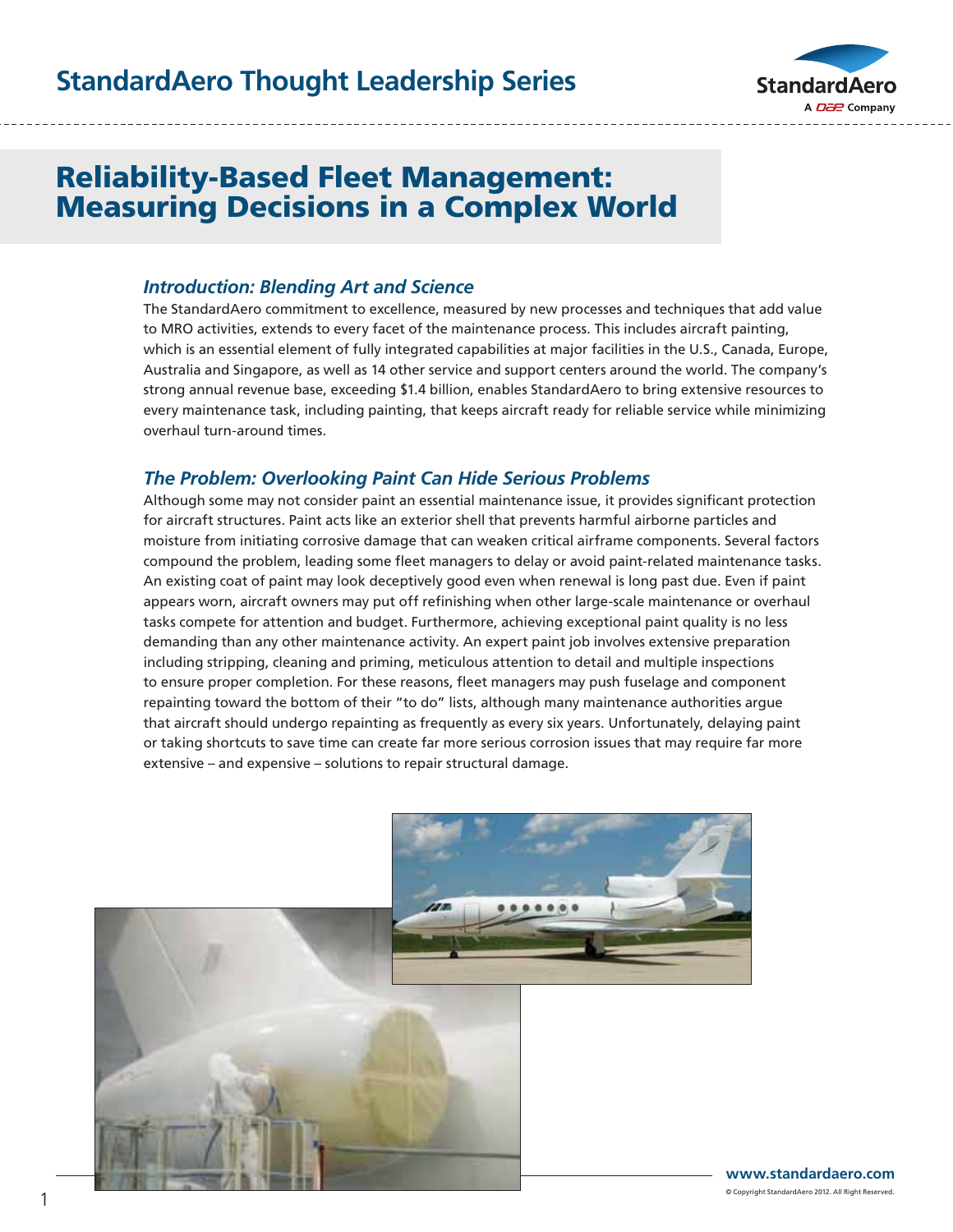### **StandardAero Thought Leadership Series**

Our Customers' Challenge:

StandardAero World-Class



#### Reliability-Based Fleet Management: Measuring Decisions in a Complex World  $\mathbf{S}$  is super Large Super Large Business Jet owners and operators want the best paint  $\mathbf{S}$ iability paseu rieet ivialiageniem.<br>The theory and skin is free from and protected from and protected from and protected from and protected from a asuring Decisions in a Complex world. And a state-of-the-art paint facility to a **Paint Capability-** $S_{\rm eff}$  Standard  $S_{\rm eff}$  is services facility houses facility houses one of the world's most

#### *Introduction: Blending Art and Science* muddellari Bichang Art and Science

The StandardAero commitment to excellence, measured by new processes and techniques that add value The StandardAero commitment to excellence, measured by new processes and techniques that add v<br>to MRO activities, extends to every facet of the maintenance process. This includes aircraft painting, which is an essential element of fully integrated capabilities at major facilities in the U.S., Canada, Europe, Australia and Singapore, as well as 14 other service and support centers around the world. The company's strong annual revenue base, exceeding \$1.4 billion, enables StandardAero to bring extensive resources to staffed with master paint technicians who believe that any that any that any every maintenance task, including painting, that keeps aircraft ready for reliable service while minimizing<br>everbaul turn around times overhaul turn-around times. paint characterist<br>Paint Capabilities<br>Paint Capabilities<br>Paint Capabilities<br>Paint Capabilities<br>Paint Capabilities<br>Referribus<br>Referribus<br>Referribus<br>Referribus<br>Referribus<br>Referribus<br>Referribus<br>Referribus<br>Referribus<br>Referribu  $\frac{1}{2}$  strong and  $\frac{1}{2}$ 

engine, avionics and interiors capabilities – just in case stripping an aircraft for paint uncovers

### **The Problem: Overlooking Paint Can Hide Serious Problems**

Although some may not consider paint an essential maintenance issue, it provides significant protection<br>Comprise our comprise our comprise our comprise our facility. The bay are environmentally are environmentally for aircraft structures. Paint acts like an exterior shell that prevents harmful airborne particles and for ancial csubctures. Faint acts like an exterior shell that prevents harmlui alloome particles and<br>moisture from initiating corrosive damage that can weaken critical airframe components. Several factors compound the problem, leading some fleet managers to delay or avoid paint-related maintenance tasks. An existing coat of paint may look deceptively good even when renewal is long past due. Even if paint appears worn, aircraft owners may put off refinishing when other large-scale maintenance or overhaul tasks compete for attention and budget. Furthermore, achieving exceptional paint quality is no less demanding than any other maintenance activity. An expert paint job involves extensive preparation demanding than any other maintenance activity. An expert paint job involves extensive preparation<br>including stripping, cleaning and priming, meticulous attention to detail and multiple inspections to ensure proper completion. For these reasons, fleet managers may push fuselage and component repainting toward the bottom of their "to do" lists, although many maintenance authorities argue that aircraft should undergo repainting as frequently as every six years. Unfortunately, delaying paint or taking shortcuts to save time can create far more serious corrosion issues that may require far more extensive – and expensive – solutions to repair structural damage. Chini<br>Standard<br>Standard<br>Standard<br>Standard<br>Aero World-Class<br>Standard<br>Standard<br>Standard  *any damage due to corrosion. When corrosion and resultant damage are identified we can Painting Coward the bottom of their co* do *hsts used in hospital operating rooms.* **>>> >>> >>> >>>**

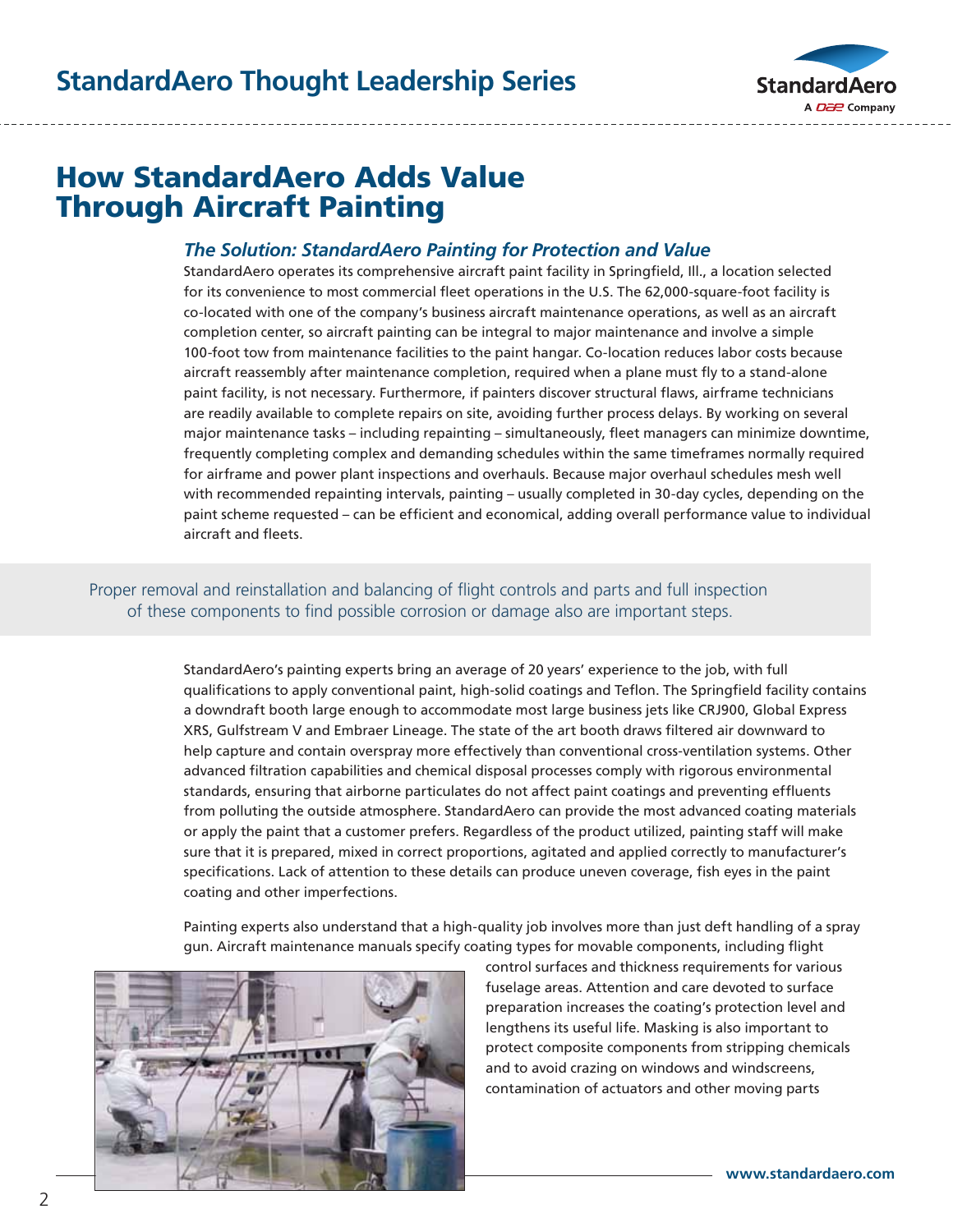

# How StandardAero Adds Value Through Aircraft Painting

#### *The Solution: StandardAero Painting for Protection and Value*

StandardAero operates its comprehensive aircraft paint facility in Springfield, Ill., a location selected for its convenience to most commercial fleet operations in the U.S. The 62,000-square-foot facility is co-located with one of the company's business aircraft maintenance operations, as well as an aircraft completion center, so aircraft painting can be integral to major maintenance and involve a simple 100-foot tow from maintenance facilities to the paint hangar. Co-location reduces labor costs because aircraft reassembly after maintenance completion, required when a plane must fly to a stand-alone paint facility, is not necessary. Furthermore, if painters discover structural flaws, airframe technicians are readily available to complete repairs on site, avoiding further process delays. By working on several major maintenance tasks – including repainting – simultaneously, fleet managers can minimize downtime, frequently completing complex and demanding schedules within the same timeframes normally required for airframe and power plant inspections and overhauls. Because major overhaul schedules mesh well with recommended repainting intervals, painting – usually completed in 30-day cycles, depending on the paint scheme requested – can be efficient and economical, adding overall performance value to individual aircraft and fleets. paint facility, is<br>are readily avail

### Proper removal and reinstallation and balancing of flight controls and parts and full inspection of these components to find possible corrosion or damage also are important steps.

StandardAero's painting experts bring an average of 20 years' experience to the job, with full qualifications to apply conventional paint, high-solid coatings and Teflon. The Springfield facility contains a downdraft booth large enough to accommodate most large business jets like CRJ900, Global Express XRS, Gulfstream V and Embraer Lineage. The state of the art booth draws filtered air downward to help capture and contain overspray more effectively than conventional cross-ventilation systems. Other advanced filtration capabilities and chemical disposal processes comply with rigorous environmental standards, ensuring that airborne particulates do not affect paint coatings and preventing effluents from polluting the outside atmosphere. StandardAero can provide the most advanced coating materials or apply the paint that a customer prefers. Regardless of the product utilized, painting staff will make sure that it is prepared, mixed in correct proportions, agitated and applied correctly to manufacturer's specifications. Lack of attention to these details can produce uneven coverage, fish eyes in the paint coating and other imperfections. Figure I<br>Standard Classic Left Controllery<br>Standard Classic Left Classic Left Classic Left Classic<br>Standard Classic Left Classic Left Classic Left Classic<br>Standard Classic Left Classic Left Classic Left Classic Left Classi ent al<br>
of fl<br>
osion<br>
an av<br>
an av<br>
icom<br>
e. Th<br>
icolat<br>
e. Star<br>
for **>>> >>> >>> >>>**

Painting experts also understand that a high-quality job involves more than just deft handling of a spray gun. Aircraft maintenance manuals specify coating types for movable components, including flight



control surfaces and thickness requirements for various fuselage areas. Attention and care devoted to surface preparation increases the coating's protection level and lengthens its useful life. Masking is also important to protect composite components from stripping chemicals and to avoid crazing on windows and windscreens, contamination of actuators and other moving parts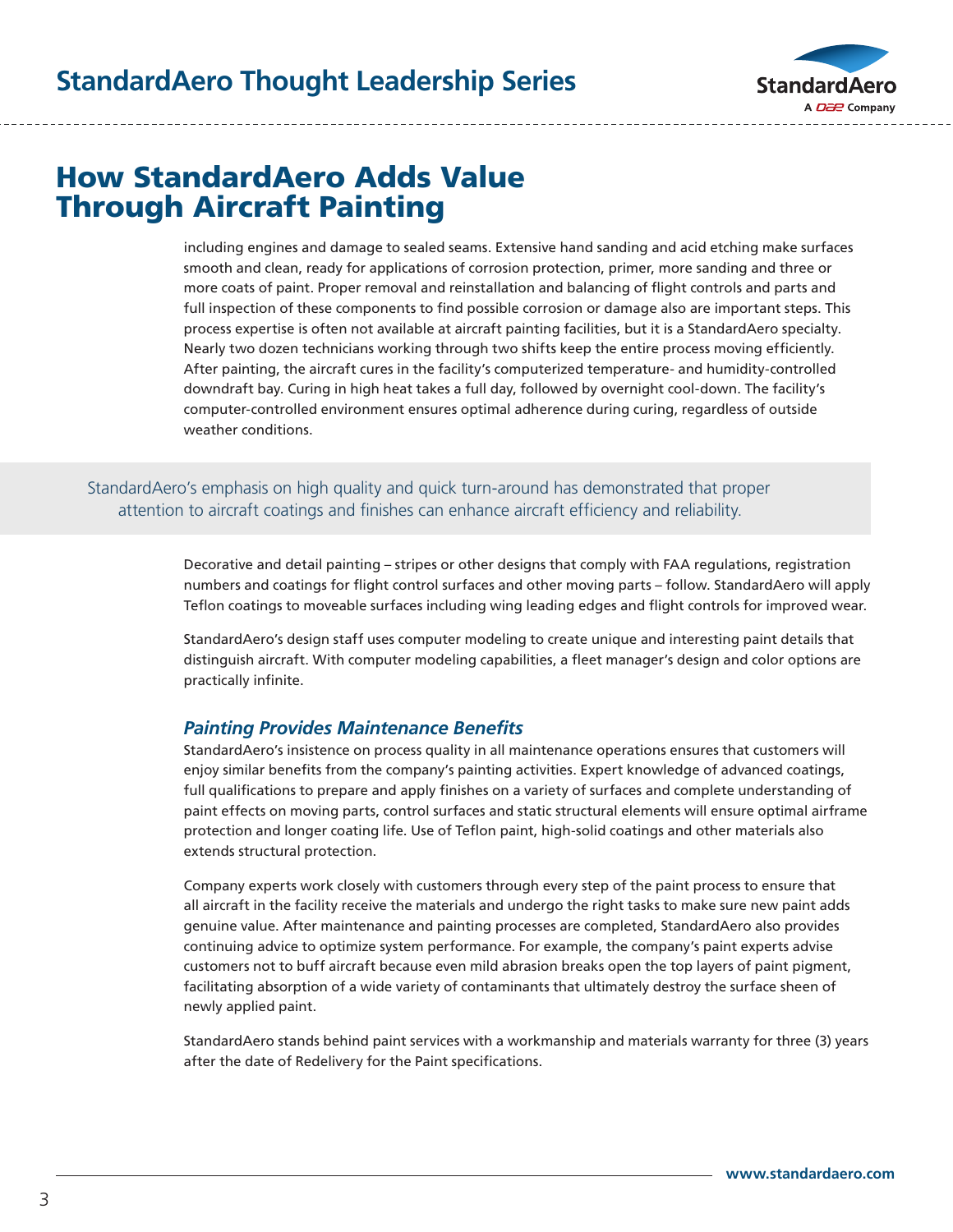

# How StandardAero Adds Value Through Aircraft Painting

including engines and damage to sealed seams. Extensive hand sanding and acid etching make surfaces smooth and clean, ready for applications of corrosion protection, primer, more sanding and three or more coats of paint. Proper removal and reinstallation and balancing of flight controls and parts and full inspection of these components to find possible corrosion or damage also are important steps. This process expertise is often not available at aircraft painting facilities, but it is a StandardAero specialty. Nearly two dozen technicians working through two shifts keep the entire process moving efficiently. After painting, the aircraft cures in the facility's computerized temperature- and humidity-controlled downdraft bay. Curing in high heat takes a full day, followed by overnight cool-down. The facility's computer-controlled environment ensures optimal adherence during curing, regardless of outside weather conditions.

StandardAero's emphasis on high quality and quick turn-around has demonstrated that proper attention to aircraft coatings and finishes can enhance aircraft efficiency and reliability.

> Decorative and detail painting – stripes or other designs that comply with FAA regulations, registration numbers and coatings for flight control surfaces and other moving parts – follow. StandardAero will apply Teflon coatings to moveable surfaces including wing leading edges and flight controls for improved wear.

StandardAero's design staff uses computer modeling to create unique and interesting paint details that distinguish aircraft. With computer modeling capabilities, a fleet manager's design and color options are practically infinite.

#### *Painting Provides Maintenance Benefits*

StandardAero's insistence on process quality in all maintenance operations ensures that customers will enjoy similar benefits from the company's painting activities. Expert knowledge of advanced coatings, full qualifications to prepare and apply finishes on a variety of surfaces and complete understanding of paint effects on moving parts, control surfaces and static structural elements will ensure optimal airframe protection and longer coating life. Use of Teflon paint, high-solid coatings and other materials also extends structural protection.

Company experts work closely with customers through every step of the paint process to ensure that all aircraft in the facility receive the materials and undergo the right tasks to make sure new paint adds genuine value. After maintenance and painting processes are completed, StandardAero also provides continuing advice to optimize system performance. For example, the company's paint experts advise customers not to buff aircraft because even mild abrasion breaks open the top layers of paint pigment, facilitating absorption of a wide variety of contaminants that ultimately destroy the surface sheen of newly applied paint.

StandardAero stands behind paint services with a workmanship and materials warranty for three (3) years after the date of Redelivery for the Paint specifications.